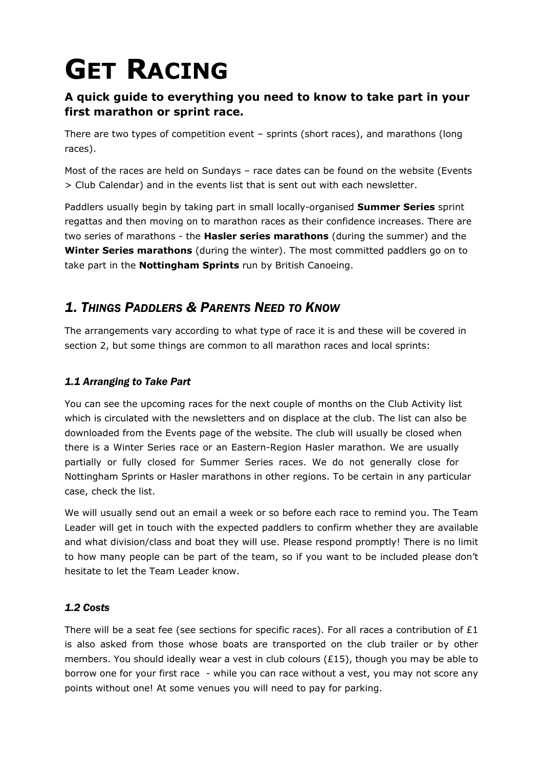# **GET RACING**

## **A quick guide to everything you need to know to take part in your first marathon or sprint race.**

There are two types of competition event – sprints (short races), and marathons (long races).

Most of the races are held on Sundays – race dates can be found on the website (Events > Club Calendar) and in the events list that is sent out with each newsletter.

Paddlers usually begin by taking part in small locally-organised **Summer Series** sprint regattas and then moving on to marathon races as their confidence increases. There are two series of marathons - the **Hasler series marathons** (during the summer) and the **Winter Series marathons** (during the winter). The most committed paddlers go on to take part in the **Nottingham Sprints** run by British Canoeing.

## *1. THINGS PADDLERS & PARENTS NEED TO KNOW*

The arrangements vary according to what type of race it is and these will be covered in section 2, but some things are common to all marathon races and local sprints:

## *1.1 Arranging to Take Part*

You can see the upcoming races for the next couple of months on the Club Activity list which is circulated with the newsletters and on displace at the club. The list can also be downloaded from the Events page of the website. The club will usually be closed when there is a Winter Series race or an Eastern-Region Hasler marathon. We are usually partially or fully closed for Summer Series races. We do not generally close for Nottingham Sprints or Hasler marathons in other regions. To be certain in any particular case, check the list.

We will usually send out an email a week or so before each race to remind you. The Team Leader will get in touch with the expected paddlers to confirm whether they are available and what division/class and boat they will use. Please respond promptly! There is no limit to how many people can be part of the team, so if you want to be included please don't hesitate to let the Team Leader know.

### *1.2 Costs*

There will be a seat fee (see sections for specific races). For all races a contribution of  $E1$ is also asked from those whose boats are transported on the club trailer or by other members. You should ideally wear a vest in club colours ( $£15$ ), though you may be able to borrow one for your first race - while you can race without a vest, you may not score any points without one! At some venues you will need to pay for parking.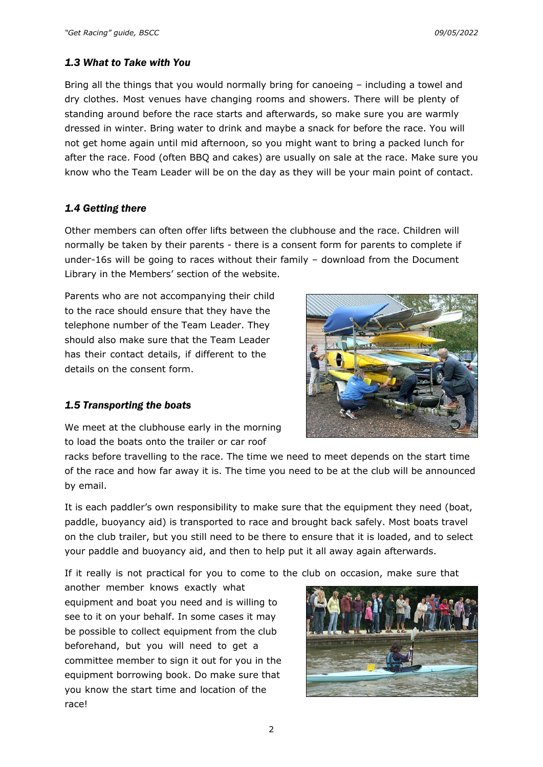#### *1.3 What to Take with You*

Bring all the things that you would normally bring for canoeing – including a towel and dry clothes. Most venues have changing rooms and showers. There will be plenty of standing around before the race starts and afterwards, so make sure you are warmly dressed in winter. Bring water to drink and maybe a snack for before the race. You will not get home again until mid afternoon, so you might want to bring a packed lunch for after the race. Food (often BBQ and cakes) are usually on sale at the race. Make sure you know who the Team Leader will be on the day as they will be your main point of contact.

#### *1.4 Getting there*

Other members can often offer lifts between the clubhouse and the race. Children will normally be taken by their parents - there is a consent form for parents to complete if under-16s will be going to races without their family – download from the Document Library in the Members' section of the website.

Parents who are not accompanying their child to the race should ensure that they have the telephone number of the Team Leader. They should also make sure that the Team Leader has their contact details, if different to the details on the consent form.



#### *1.5 Transporting the boats*

We meet at the clubhouse early in the morning to load the boats onto the trailer or car roof

racks before travelling to the race. The time we need to meet depends on the start time of the race and how far away it is. The time you need to be at the club will be announced by email.

It is each paddler's own responsibility to make sure that the equipment they need (boat, paddle, buoyancy aid) is transported to race and brought back safely. Most boats travel on the club trailer, but you still need to be there to ensure that it is loaded, and to select your paddle and buoyancy aid, and then to help put it all away again afterwards.

If it really is not practical for you to come to the club on occasion, make sure that

another member knows exactly what equipment and boat you need and is willing to see to it on your behalf. In some cases it may be possible to collect equipment from the club beforehand, but you will need to get a committee member to sign it out for you in the equipment borrowing book. Do make sure that you know the start time and location of the race!

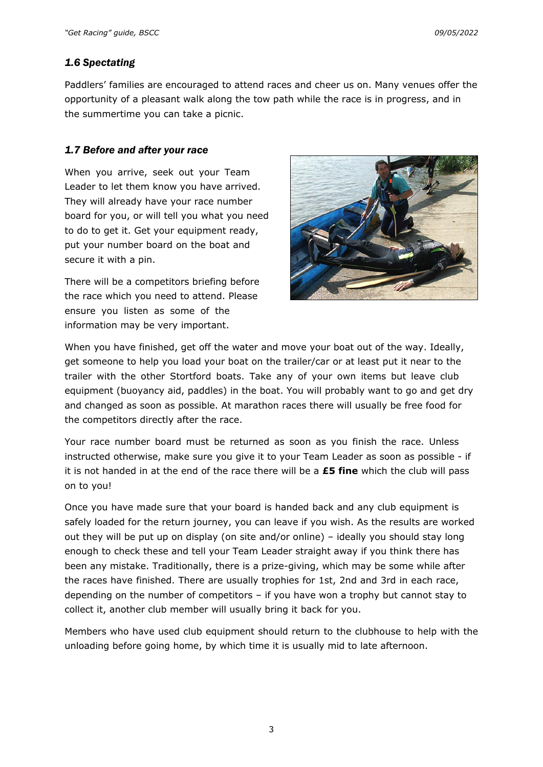#### *1.6 Spectating*

Paddlers' families are encouraged to attend races and cheer us on. Many venues offer the opportunity of a pleasant walk along the tow path while the race is in progress, and in the summertime you can take a picnic.

#### *1.7 Before and after your race*

When you arrive, seek out your Team Leader to let them know you have arrived. They will already have your race number board for you, or will tell you what you need to do to get it. Get your equipment ready, put your number board on the boat and secure it with a pin.

There will be a competitors briefing before the race which you need to attend. Please ensure you listen as some of the information may be very important.



When you have finished, get off the water and move your boat out of the way. Ideally, get someone to help you load your boat on the trailer/car or at least put it near to the trailer with the other Stortford boats. Take any of your own items but leave club equipment (buoyancy aid, paddles) in the boat. You will probably want to go and get dry and changed as soon as possible. At marathon races there will usually be free food for the competitors directly after the race.

Your race number board must be returned as soon as you finish the race. Unless instructed otherwise, make sure you give it to your Team Leader as soon as possible - if it is not handed in at the end of the race there will be a **£5 fine** which the club will pass on to you!

Once you have made sure that your board is handed back and any club equipment is safely loaded for the return journey, you can leave if you wish. As the results are worked out they will be put up on display (on site and/or online) – ideally you should stay long enough to check these and tell your Team Leader straight away if you think there has been any mistake. Traditionally, there is a prize-giving, which may be some while after the races have finished. There are usually trophies for 1st, 2nd and 3rd in each race, depending on the number of competitors – if you have won a trophy but cannot stay to collect it, another club member will usually bring it back for you.

Members who have used club equipment should return to the clubhouse to help with the unloading before going home, by which time it is usually mid to late afternoon.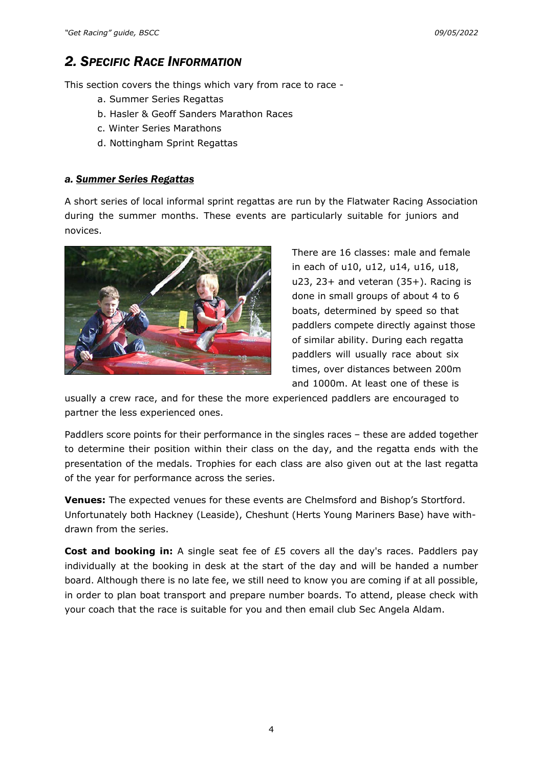## *2. SPECIFIC RACE INFORMATION*

This section covers the things which vary from race to race -

- a. Summer Series Regattas
- b. Hasler & Geoff Sanders Marathon Races
- c. Winter Series Marathons
- d. Nottingham Sprint Regattas

#### *a. Summer Series Regattas*

A short series of local informal sprint regattas are run by the Flatwater Racing Association during the summer months. These events are particularly suitable for juniors and novices.



There are 16 classes: male and female in each of u10, u12, u14, u16, u18,  $u23$ , 23+ and veteran (35+). Racing is done in small groups of about 4 to 6 boats, determined by speed so that paddlers compete directly against those of similar ability. During each regatta paddlers will usually race about six times, over distances between 200m and 1000m. At least one of these is

usually a crew race, and for these the more experienced paddlers are encouraged to partner the less experienced ones.

Paddlers score points for their performance in the singles races – these are added together to determine their position within their class on the day, and the regatta ends with the presentation of the medals. Trophies for each class are also given out at the last regatta of the year for performance across the series.

**Venues:** The expected venues for these events are Chelmsford and Bishop's Stortford. Unfortunately both Hackney (Leaside), Cheshunt (Herts Young Mariners Base) have withdrawn from the series.

**Cost and booking in:** A single seat fee of £5 covers all the day's races. Paddlers pay individually at the booking in desk at the start of the day and will be handed a number board. Although there is no late fee, we still need to know you are coming if at all possible, in order to plan boat transport and prepare number boards. To attend, please check with your coach that the race is suitable for you and then email club Sec Angela Aldam.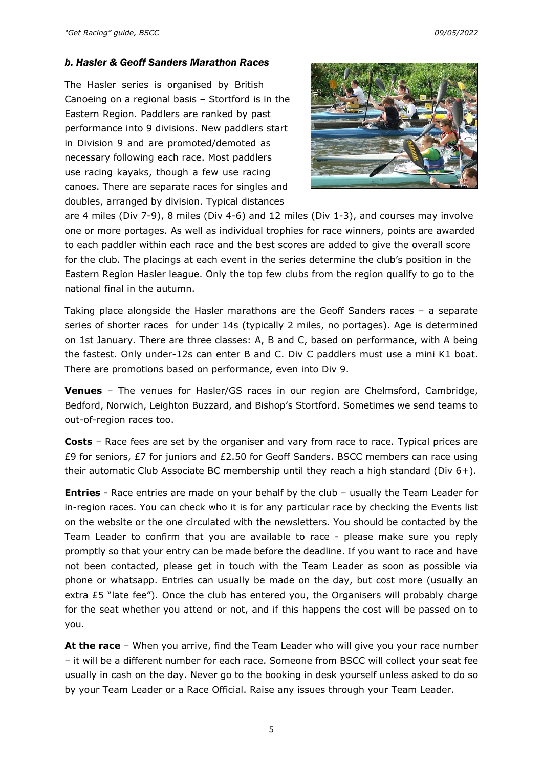#### *b. Hasler & Geoff Sanders Marathon Races*

The Hasler series is organised by British Canoeing on a regional basis – Stortford is in the Eastern Region. Paddlers are ranked by past performance into 9 divisions. New paddlers start in Division 9 and are promoted/demoted as necessary following each race. Most paddlers use racing kayaks, though a few use racing canoes. There are separate races for singles and doubles, arranged by division. Typical distances



are 4 miles (Div 7-9), 8 miles (Div 4-6) and 12 miles (Div 1-3), and courses may involve one or more portages. As well as individual trophies for race winners, points are awarded to each paddler within each race and the best scores are added to give the overall score for the club. The placings at each event in the series determine the club's position in the Eastern Region Hasler league. Only the top few clubs from the region qualify to go to the national final in the autumn.

Taking place alongside the Hasler marathons are the Geoff Sanders races – a separate series of shorter races for under 14s (typically 2 miles, no portages). Age is determined on 1st January. There are three classes: A, B and C, based on performance, with A being the fastest. Only under-12s can enter B and C. Div C paddlers must use a mini K1 boat. There are promotions based on performance, even into Div 9.

**Venues** – The venues for Hasler/GS races in our region are Chelmsford, Cambridge, Bedford, Norwich, Leighton Buzzard, and Bishop's Stortford. Sometimes we send teams to out-of-region races too.

**Costs** – Race fees are set by the organiser and vary from race to race. Typical prices are £9 for seniors, £7 for juniors and £2.50 for Geoff Sanders. BSCC members can race using their automatic Club Associate BC membership until they reach a high standard (Div 6+).

**Entries** - Race entries are made on your behalf by the club – usually the Team Leader for in-region races. You can check who it is for any particular race by checking the Events list on the website or the one circulated with the newsletters. You should be contacted by the Team Leader to confirm that you are available to race - please make sure you reply promptly so that your entry can be made before the deadline. If you want to race and have not been contacted, please get in touch with the Team Leader as soon as possible via phone or whatsapp. Entries can usually be made on the day, but cost more (usually an extra £5 "late fee"). Once the club has entered you, the Organisers will probably charge for the seat whether you attend or not, and if this happens the cost will be passed on to you.

**At the race** – When you arrive, find the Team Leader who will give you your race number – it will be a different number for each race. Someone from BSCC will collect your seat fee usually in cash on the day. Never go to the booking in desk yourself unless asked to do so by your Team Leader or a Race Official. Raise any issues through your Team Leader.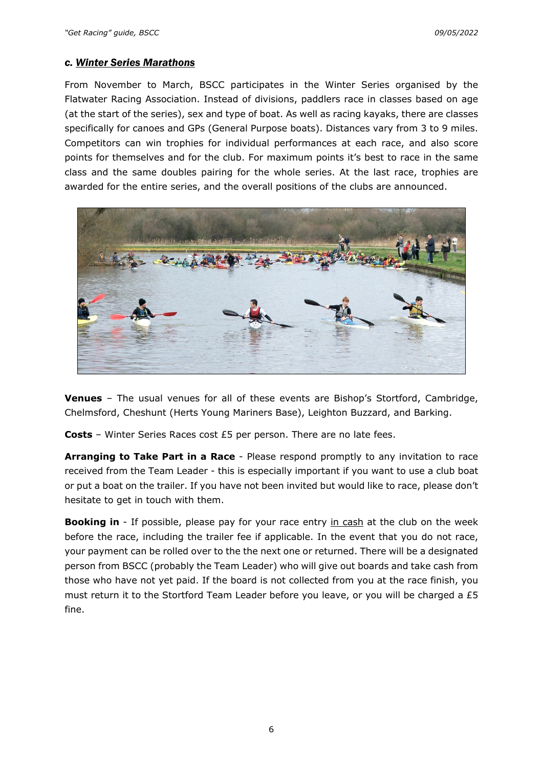#### *c. Winter Series Marathons*

From November to March, BSCC participates in the Winter Series organised by the Flatwater Racing Association. Instead of divisions, paddlers race in classes based on age (at the start of the series), sex and type of boat. As well as racing kayaks, there are classes specifically for canoes and GPs (General Purpose boats). Distances vary from 3 to 9 miles. Competitors can win trophies for individual performances at each race, and also score points for themselves and for the club. For maximum points it's best to race in the same class and the same doubles pairing for the whole series. At the last race, trophies are awarded for the entire series, and the overall positions of the clubs are announced.



**Venues** – The usual venues for all of these events are Bishop's Stortford, Cambridge, Chelmsford, Cheshunt (Herts Young Mariners Base), Leighton Buzzard, and Barking.

**Costs** – Winter Series Races cost £5 per person. There are no late fees.

**Arranging to Take Part in a Race** - Please respond promptly to any invitation to race received from the Team Leader - this is especially important if you want to use a club boat or put a boat on the trailer. If you have not been invited but would like to race, please don't hesitate to get in touch with them.

**Booking in** - If possible, please pay for your race entry in cash at the club on the week before the race, including the trailer fee if applicable. In the event that you do not race, your payment can be rolled over to the the next one or returned. There will be a designated person from BSCC (probably the Team Leader) who will give out boards and take cash from those who have not yet paid. If the board is not collected from you at the race finish, you must return it to the Stortford Team Leader before you leave, or you will be charged a  $£5$ fine.